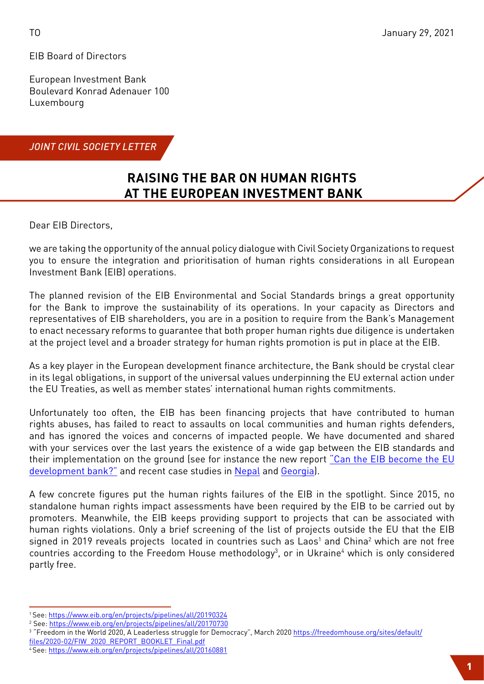EIB Board of Directors

European Investment Bank Boulevard Konrad Adenauer 100 Luxembourg

*JOINT CIVIL SOCIETY LETTER*

## **RAISING THE BAR ON HUMAN RIGHTS AT THE EUROPEAN INVESTMENT BANK**

Dear EIB Directors,

we are taking the opportunity of the annual policy dialogue with Civil Society Organizations to request you to ensure the integration and prioritisation of human rights considerations in all European Investment Bank (EIB) operations.

The planned revision of the EIB Environmental and Social Standards brings a great opportunity for the Bank to improve the sustainability of its operations. In your capacity as Directors and representatives of EIB shareholders, you are in a position to require from the Bank's Management to enact necessary reforms to guarantee that both proper human rights due diligence is undertaken at the project level and a broader strategy for human rights promotion is put in place at the EIB.

As a key player in the European development finance architecture, the Bank should be crystal clear in its legal obligations, in support of the universal values underpinning the EU external action under the EU Treaties, as well as member states' international human rights commitments.

Unfortunately too often, the EIB has been financing projects that have contributed to human rights abuses, has failed to react to assaults on local communities and human rights defenders, and has ignored the voices and concerns of impacted people. We have documented and shared with your services over the last years the existence of a wide gap between the EIB standards and their implementation on the ground (see for instance the new report ["Can the EIB become the EU](https://counter-balance.org/publications/is-the-eib-too-faulty-to-become-the-eu-development-bank)  [development bank?"](https://counter-balance.org/publications/is-the-eib-too-faulty-to-become-the-eu-development-bank) and recent case studies in [Nepal](https://www.accountabilitycounsel.org/2020/10/indigenous-communities-in-nepal-launch-free-prior-and-informed-consent-protocol-for-eib-funded-marsyangdi-corridor-transmission-line/) and [Georgia\)](https://bankwatch.org/project/nenskra-hydropower-plant-georgia).

A few concrete figures put the human rights failures of the EIB in the spotlight. Since 2015, no standalone human rights impact assessments have been required by the EIB to be carried out by promoters. Meanwhile, the EIB keeps providing support to projects that can be associated with human rights violations. Only a brief screening of the list of projects outside the EU that the EIB signed in 2019 reveals projects located in countries such as Laos<sup>1</sup> and China<sup>2</sup> which are not free countries according to the Freedom House methodology<sup>3</sup>, or in Ukraine<sup>4</sup> which is only considered partly free.

4 See:<https://www.eib.org/en/projects/pipelines/all/20160881>

<sup>1</sup> See:<https://www.eib.org/en/projects/pipelines/all/20190324>

<sup>2</sup> See: <https://www.eib.org/en/projects/pipelines/all/20170730>

<sup>&</sup>lt;sup>3</sup> "Freedom in the World 2020, A Leaderless struggle for Democracy", March 2020 <u>[https://freedomhouse.org/sites/default/](https://freedomhouse.org/sites/default/files/2020-02/FIW_2020_REPORT_BOOKLET_Final.pdf)</u> [files/2020-02/FIW\\_2020\\_REPORT\\_BOOKLET\\_Final.pdf](https://freedomhouse.org/sites/default/files/2020-02/FIW_2020_REPORT_BOOKLET_Final.pdf)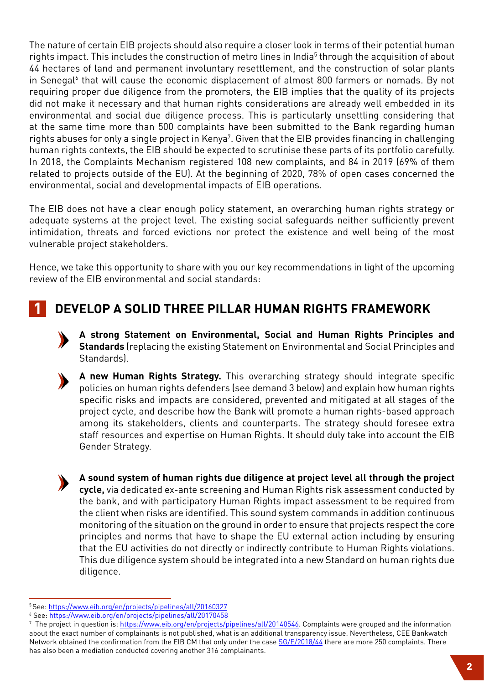The nature of certain EIB projects should also require a closer look in terms of their potential human rights impact. This includes the construction of metro lines in India<sup>5</sup> through the acquisition of about 44 hectares of land and permanent involuntary resettlement, and the construction of solar plants in Senegal<sup>6</sup> that will cause the economic displacement of almost 800 farmers or nomads. By not requiring proper due diligence from the promoters, the EIB implies that the quality of its projects did not make it necessary and that human rights considerations are already well embedded in its environmental and social due diligence process. This is particularly unsettling considering that at the same time more than 500 complaints have been submitted to the Bank regarding human rights abuses for only a single project in Kenya<sup>7</sup>. Given that the EIB provides financing in challenging human rights contexts, the EIB should be expected to scrutinise these parts of its portfolio carefully. In 2018, the Complaints Mechanism registered 108 new complaints, and 84 in 2019 (69% of them related to projects outside of the EU). At the beginning of 2020, 78% of open cases concerned the environmental, social and developmental impacts of EIB operations.

The EIB does not have a clear enough policy statement, an overarching human rights strategy or adequate systems at the project level. The existing social safeguards neither sufficiently prevent intimidation, threats and forced evictions nor protect the existence and well being of the most vulnerable project stakeholders.

Hence, we take this opportunity to share with you our key recommendations in light of the upcoming review of the EIB environmental and social standards:

## **1 DEVELOP A SOLID THREE PILLAR HUMAN RIGHTS FRAMEWORK**



**A new Human Rights Strategy.** This overarching strategy should integrate specific policies on human rights defenders (see demand 3 below) and explain how human rights specific risks and impacts are considered, prevented and mitigated at all stages of the project cycle, and describe how the Bank will promote a human rights-based approach among its stakeholders, clients and counterparts. The strategy should foresee extra staff resources and expertise on Human Rights. It should duly take into account the EIB Gender Strategy.

**A sound system of human rights due diligence at project level all through the project cycle,** via dedicated ex-ante screening and Human Rights risk assessment conducted by the bank, and with participatory Human Rights impact assessment to be required from the client when risks are identified. This sound system commands in addition continuous monitoring of the situation on the ground in order to ensure that projects respect the core principles and norms that have to shape the EU external action including by ensuring that the EU activities do not directly or indirectly contribute to Human Rights violations. This due diligence system should be integrated into a new Standard on human rights due diligence.

<sup>5</sup> See:<https://www.eib.org/en/projects/pipelines/all/20160327>

<sup>6</sup> See:<https://www.eib.org/en/projects/pipelines/all/20170458>

<sup>&</sup>lt;sup>7</sup> The project in question is: [https://www.eib.org/en/projects/pipelines/all/20140546.](https://www.eib.org/en/projects/pipelines/all/20140546) Complaints were grouped and the information about the exact number of complainants is not published, what is an additional transparency issue. Nevertheless, CEE Bankwatch Network obtained the confirmation from the EIB CM that only under the case [SG/E/2018/44](https://www.eib.org/en/about/accountability/complaints/cases/mombasa-port-access-road) there are more 250 complaints. There has also been a mediation conducted covering another 316 complainants.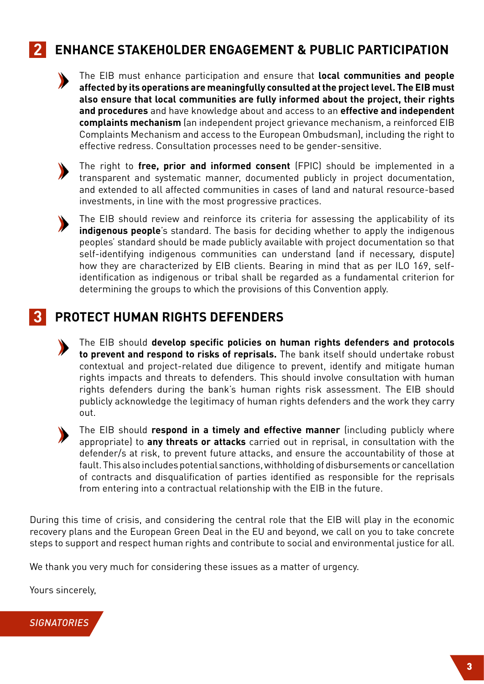## **2 ENHANCE STAKEHOLDER ENGAGEMENT & PUBLIC PARTICIPATION**



The EIB must enhance participation and ensure that **local communities and people affected by its operations are meaningfully consulted at the project level. The EIB must also ensure that local communities are fully informed about the project, their rights and procedures** and have knowledge about and access to an **effective and independent complaints mechanism** (an independent project grievance mechanism, a reinforced EIB Complaints Mechanism and access to the European Ombudsman), including the right to effective redress. Consultation processes need to be gender-sensitive.



The right to **free, prior and informed consent** (FPIC) should be implemented in a transparent and systematic manner, documented publicly in project documentation, and extended to all affected communities in cases of land and natural resource-based investments, in line with the most progressive practices.



## **3 PROTECT HUMAN RIGHTS DEFENDERS**

The EIB should **develop specific policies on human rights defenders and protocols to prevent and respond to risks of reprisals.** The bank itself should undertake robust contextual and project-related due diligence to prevent, identify and mitigate human rights impacts and threats to defenders. This should involve consultation with human rights defenders during the bank's human rights risk assessment. The EIB should publicly acknowledge the legitimacy of human rights defenders and the work they carry out.



The EIB should **respond in a timely and effective manner** (including publicly where appropriate) to **any threats or attacks** carried out in reprisal, in consultation with the defender/s at risk, to prevent future attacks, and ensure the accountability of those at fault. This also includes potential sanctions, withholding of disbursements or cancellation of contracts and disqualification of parties identified as responsible for the reprisals from entering into a contractual relationship with the EIB in the future.

During this time of crisis, and considering the central role that the EIB will play in the economic recovery plans and the European Green Deal in the EU and beyond, we call on you to take concrete steps to support and respect human rights and contribute to social and environmental justice for all.

We thank you very much for considering these issues as a matter of urgency.

Yours sincerely,